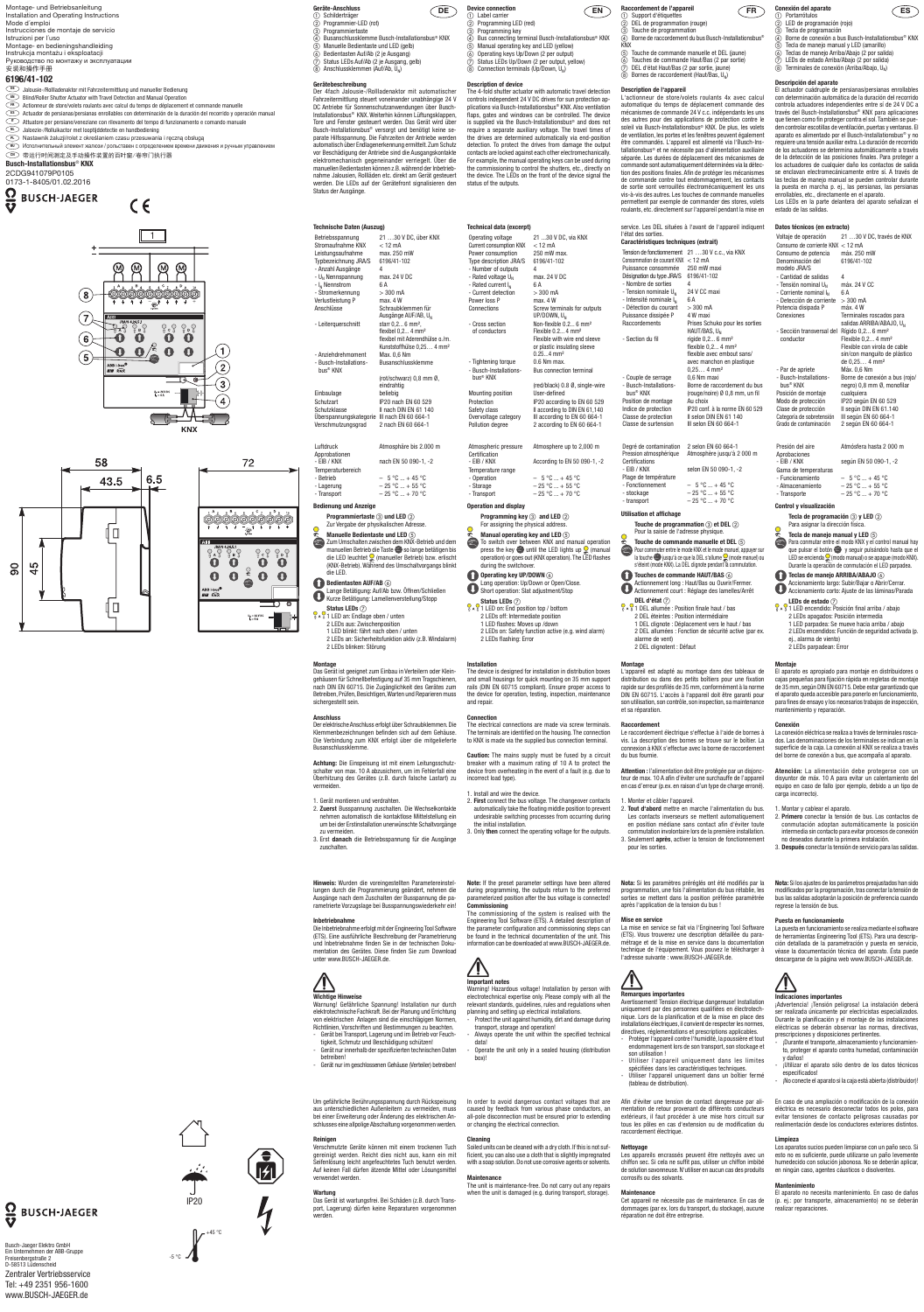# **Gerätebeschreibung**

Der 4fach Jalousie-/Rollladenaktor mit automatischer Fahrzeitermittlung steuert voneinander unabhängige 24 V DC Antriebe für Sonnenschutzanwendungen über Busch-Installationsbus® KNX. Weiterhin können Lüftungsklappen, Tore und Fenster gesteuert werden. Das Gerät wird über Busch-Installationsbus® versorgt und benötigt keine separate Hilfsspannung. Die Fahrzeiten der Antriebe werden automatisch über Endlagenerkennung ermittelt. Zum Schutz vor Beschädigung der Antriebe sind die Ausgangskontakte elektromechanisch gegeneinander verriegelt. Über die manuellen Bedientasten können z.B. während der Inbetriebnahme Jalousien, Rollläden etc. direkt am Gerät gesteuert werden. Die LEDs auf der Gerätefront signalisieren den Status der Ausgänge.

Einbaulage beliebig<br>
Schutzart IP20 nac Schutzart IP20 nach EN 60 529 Schutzklasse II nach DIN EN 61 140 Überspannungskategorie III nach EN 60 664-1 Verschmutzungsgrad 2 nach EN 60 664-1

**Programmiertaste** 3 und LED 2 Zur Vergabe der physikalischen Adresse.

**Manuelle Bedientaste und LED**  $(5)$ Zum Umschalten zwischen dem KNX-Betrieb und dem

manuellen Betrieb die Taste so lange betätigen bis die LED leuchtet (manueller Betrieb) bzw. erlischt (KNX-Betrieb). Während des Umschaltvorgangs blinkt die LED.

# **Bedientasten AUF/AB**  $\circledcirc$

- **Status LEDs**  $\oslash$ **P**  $\frac{1}{1}$  LED an: Endlage oben / unten
- 2 LEDs aus: Zwischenposition
- 1 LED blinkt: fährt nach oben / unten 2 LEDs an: Sicherheitsfunktion aktiv (z.B. Windalarm) 2 LEDs blinken: Störung

#### **Technische Daten (Auszug)** Betriebsspannung 21 …30 V DC, über KNX Stromaufnahme KNX < 12 mA Leistungsaufnahme max. 250 mW Typbezeichnung JRA/S 6196/41-102 - Anzahl Ausgänge  $4$ <br>- U<sub>N</sub> Nennspannung max. 24 V DC - U<sub>N</sub> Nennspannung max.<br>- L. Nennstrom 6 A  $-I_N$  Nennstrom 6 A<br>- Stromerkennung  $> 300$  mA - Stromerkennung > 300 mA Verlustleistung P<br>Anschlüsse Schraubklemmen für Ausgänge AUF/AB,  $U_N$ <br>starr 0.2... 6 mm<sup>2</sup>. - Leiterquerschnitt flexibel 0,2... 4 mm² flexibel mit Aderendhülse o /m. Kunststoffhülse 0,25... 4 mm<sup>2</sup><br>Max. 0.6 Nm - Anziehdrehmoment - Busch-Installationsbus® KNX **Busanschlussklemm** (rot/schwarz) 0,8 mm Ø, eindrahtig

Der elektrische Anschluss erfolgt über Schraubklemmen. Die Klemmenbezeichnungen befinden sich auf dem Gehäuse. **Busanschlussklemme** 

| Luftdruck         | Atmosphäre bis 2.000 m  |
|-------------------|-------------------------|
| Approbationen     |                         |
| $- EIB / KNX$     | nach EN 50 090-1, -2    |
| Temperaturbereich |                         |
| - Betrieb         | $-5^{\circ}$ C  + 45 °C |
| - Lagerung        | $-25 °C  + 55 °C$       |
| - Transport       | $-25 °C  + 70 °C$       |

### **Bedienung und Anzeige**

Warnung! Gefährliche Spannung! Installation nur durch elektrotechnische Fachkraft. Bei der Planung und Errichtung von elektrischen Anlagen sind die einschlägigen Normen, Richtlinien, Vorschriften und Bestimmungen zu beachten.

Lange Betätigung: Auf/Ab bzw. Öffnen/Schließen Kurze Betätigung: Lamellenverstellung/Stopp

### **Montage**

Das Gerät ist geeignet zum Einbau in Verteilern oder Kleingehäusen für Schnellbefestigung auf 35 mm Tragschienen, nach DIN EN 60715. Die Zugänglichkeit des Gerätes zum Betreiben, Prüfen, Besichtigen, Warten und Reparieren muss sichergestellt sein.

### **Anschluss**

Die Verbindung zum KNX erfolgt über die mitgelieferte

**Achtung:** Die Einspeisung ist mit einem Leitungsschutzvermeiden.

schalter von max. 10 A abzusichern, um im Fehlerfall eine Überhitzung des Gerätes (z.B. durch falsche Lastart) zu

### 1. Gerät montieren und verdrahten.

- nehmen automatisch die kontaktlose Mittelstellung ein um bei der Erstinstallation unerwünschte Schaltvorgänge zu vermeiden.
- 
- 2. **Zuerst** Busspannung zuschalten. Die Wechselkontakte
- 3. Erst **danach** die Betriebsspannung für die Ausgänge zuschalten.

### **Device connection**<br> **EN**  $\bigcap$  Label carrier

 $\widetilde{2}$  Programming LED (red)

- $\overline{a}$  Programming key<br>  $\overline{a}$  Bus connecting ter Bus connecting terminal Busch-Installationsbus<sup>®</sup> KNX
- 
- $\circledS$  Manual operating key and LED (yellow)<br> $\circledS$  Operating keys Up/Down (2 per output)<br> $\circledS$  Status LEDs Up/Down (2 per output, yel Operating keys Up/Down (2 per output)
	- Status LEDs Up/Down (2 per output, yellow)
- $\delta$  Connection terminals (Up/Down, U<sub>N</sub>)

**Hinweis:** Wurden die voreingestellten Parametereinstellungen durch die Programmierung geändert, nehmen die Ausgänge nach dem Zuschalten der Busspannung die parametrierte Vorzugslage bei Busspannungswiederkehr ein!

### during the switchover. **Operating key UP/DOWN** (6)

#### **Inbetriebnahme**

Die Inbetriebnahme erfolgt mit der Engineering Tool Software (ETS). Eine ausführliche Beschreibung der Parametrierung und Inbetriebnahme finden Sie in der technischen Dokumentation des Gerätes. Diese finden Sie zum Download unter www.BUSCH-JAEGER.de.

### **Wichtige Hinweise**

- Gerät bei Transport, Lagerung und im Betrieb vor Feuchtigkeit, Schmutz und Beschädigung schützen!
- Gerät nur innerhalb der spezifizierten technischen Daten betreiben!
- Gerät nur im geschlossenen Gehäuse (Verteiler) betreiben!

Um gefährliche Berührungsspannung durch Rückspeisung aus unterschiedlichen Außenleitern zu vermeiden, muss bei einer Erweiterung oder Änderung des elektrischen Anschlusses eine allpolige Abschaltung vorgenommen werden.

#### **Reinigen**

Verschmutzte Geräte können mit einem trockenen Tuch gereinigt werden. Reicht dies nicht aus, kann ein mit Seifenlösung leicht angefeuchtetes Tuch benutzt werden. Auf keinen Fall dürfen ätzende Mittel oder Lösungsmitte verwendet werden.

### **Wartung**

Das Gerät ist wartungsfrei. Bei Schäden (z.B. durch Transport, Lagerung) dürfen keine Reparaturen vorgenommen werden.

#### **Description of device**

The 4-fold shutter actuator with automatic travel detection controls independent 24 V DC drives for sun protection applications via Busch-Installationsbus® KNX. Also ventilation flaps, gates and windows can be controlled. The device is supplied via the Busch-Installationsbus® and does not require a separate auxiliary voltage. The travel times of the drives are determined automatically via end-position detection. To protect the drives from damage the output contacts are locked against each other electromechanically. For example, the manual operating keys can be used during the commissioning to control the shutters, etc., directly on the device. The LEDs on the front of the device signal the status of the outputs.

# - transport  $-25\degree C ... + 70\degree C$ **Utilisation et affichage**

- **Touche de programmation**  $\circled{c}$  **et DEL**  $\circled{c}$ Pour la saisie de l'adresse physique.
- 
- **Touche de commande manuelle et DEL**  $\circledS$ Pour commuter entre le mode KNX et le mode manuel, appuyer sur la touche is used à ce que la DEL s'allume (mode manuel) ou
- s'éteint (mode KNX). La DEL clignote pendant la commutation **Touches de commande HAUT/BAS**  $\textcircled{\scriptsize{s}}$
- Actionnement long : Haut/Bas ou Ouvrir/Fermer. Actionnement court : Réglage des lamelles/Arrêt

# **DEL d'état** (7)

| Technical data (excerpt)                       |                                    |
|------------------------------------------------|------------------------------------|
| Operating voltage                              | 21 30 V DC, via KNX                |
| <b>Current consumption KNX</b>                 | $<$ 12 mA                          |
| Power consumption                              | 250 mW max.                        |
| Type description JRA/S                         | 6196/41-102                        |
| - Number of outputs                            | 4                                  |
| - Rated voltage $U_{N}$                        | max. 24 V DC                       |
| - Rated current I <sub>N</sub>                 | 6 A                                |
| - Current detection                            | $> 300 \text{ mA}$                 |
| Power loss P                                   | $max$ 4 W                          |
| Connections                                    | Screw terminals for outputs        |
|                                                | UP/DOWN, U <sub>N</sub>            |
| - Cross section                                | Non-flexible 0.2 6 mm <sup>2</sup> |
| of conductors                                  | Flexible 0.2 4 mm <sup>2</sup>     |
|                                                | Flexible with wire end sleeve      |
|                                                | or plastic insulating sleeve       |
|                                                | $0.254$ mm <sup>2</sup>            |
| - Tightening torque                            | 0.6 Nm max                         |
| - Busch-Installations-<br>bus <sup>®</sup> KNX | <b>Bus connection terminal</b>     |
|                                                | (red/black) 0.8 Ø, single-wire     |
| <b>Mounting position</b>                       | User-defined                       |
| Protection                                     | IP20 according to EN 60 529        |
| Safety class                                   | Il according to DIN EN 61,140      |
| Overvoltage category                           | III according to EN 60 664-1       |
| Pollution degree                               | 2 according to EN 60 664-1         |
|                                                |                                    |

**PARTIC LIGHTER 2018** : Position finale haut / bas 2 DEL éteintes : Position intermédiaire 1 DEL clignote : Déplacement vers le haut / bas 2 DEL allumées : Fonction de sécurité active (par ex. alarme de vent) 2 DEL clignotent : Défaut

### Atmospheric pressure Atmosphere up to 2,000 m Certification<br>- EIB / KNX According to EN 50 090-1, -2 Temperature range

- Operation –  $5^{\circ}$ C ... + 45 °C - Storage  $-25 \text{ °C} ... + 55 \text{ °C}$ - Transport  $-25 \text{ °C} ... + 70 \text{ °C}$ 

# **Operation and display**

**Programming key**  $\circled{3}$  **and LED**  $\circled{2}$ For assigning the physical address. **Manual operating key and LED**  $\circledS$  To switch over between KNX and manual operation press the key  $\bullet$  until the LED lights up  $\circ$  (manual

operation) or goes out (KNX operation). The LED flashes

- Long operation: Up/Down or Open/Close.
- **Short operation: Slat adjustment/Stop Status LEDs**  $(7)$  $\frac{1}{10}$  A  $\frac{1}{4}$  1 LED on: End position top / bottom 2 LEDs off: Intermediate position 1 LED flashes: Moves up /down
- 2 LEDs on: Safety function active (e.g. wind alarm) 2 LEDs flashing: Error

- Protéger l'appareil contre l'humidité, la poussière et tout endommagement lors de son transport, son stockage et son utilisation !
- Utiliser l'appareil uniquement dans les limites spécifiées dans les caractéristiques techniques.
- Utiliser l'appareil uniquement dans un boîtier fermé (tableau de distribution).

#### **Installation**

The device is designed for installation in distribution boxes and small housings for quick mounting on 35 mm support rails (DIN EN 60715 compliant). Ensure proper access to the device for operation, testing, inspection, maintenance and repair.

> **Nettoyage**<br>Les appareils encrassés peuvent être nettoyés avec un chiffon sec. Si cela ne suffit pas, utiliser un chiffon imbibé de solution savonneuse. N'utiliser en aucun cas des produits corrosifs ou des solvants.

#### **Connection** The electrical connections are made via screw terminals.

b LED de programación (rojo) Tecla de programación

El actuador cuádruple de persianas/persianas enrollables con determinación automática de la duración del recorrido controla actuadores independientes entre sí de 24 V DC a través del Busch-Installationsbus® KNX para aplicaciones que tienen como fin proteger contra el sol. También se pueden controlar escotillas de ventilación, puertas y ventanas. El aparato es alimentado por el Busch-Installationsbus® y no requiere una tensión auxiliar extra. La duración de recorrido de los actuadores se determina automáticamente a través de la detección de las posiciones finales. Para proteger a los actuadores de cualquier daño los contactos de salida se enclavan electromecánicamente entre sí. A través de las teclas de manejo manual se pueden controlar durante la puesta en marcha p. ej., las persianas, las persianas enrollables, etc., directamente en el aparato. Los LEDs en la parte delantera del aparato señalizan e

The terminals are identified on the housing. The connection to KNX is made via the supplied bus connection terminal. **Caution:** The mains supply must be fused by a circuit breaker with a maximum rating of 10 A to protect the device from overheating in the event of a fault (e.g. due to

incorrect load type).

1. Install and wire the device.

2. **First** connect the bus voltage. The changeover contacts automatically take the floating middle position to prevent undesirable switching processes from occurring during

the initial installation.

3. Only **then** connect the operating voltage for the outputs.

**Note:** If the preset parameter settings have been altered during programming, the outputs return to the preferred parameterized position after the bus voltage is connected!

**Commissioning**

The commissioning of the system is realised with the Engineering Tool Software (ETS). A detailed description of the parameter configuration and commissioning steps can be found in the technical documentation of the unit. This information can be downloaded at www.BUSCH-JAEGER.de.

**Important notes** 

<u>/I\</u>

Warning! Hazardous voltage! Installation by person with electrotechnical expertise only. Please comply with all the relevant standards, guidelines, rules and regulations when planning and setting up electrical installations.

Protect the unit against humidity, dirt and damage during

Always operate the unit within the specified technical

transport, storage and operation!

data!

box)

**P**  $\sqrt[n]{2}$  LED encendido: Posición final arriba / abajo 2 LEDs apagados: Posición intermedia 1 LED parpadea: Se mueve hacia arriba / abajo 2 LEDs encendidos: Función de seguridad activada (p.

- Operate the unit only in a sealed housing (distribution

ej alarma de viento) 2 LEDs parpadean: Error

In order to avoid dangerous contact voltages that are caused by feedback from various phase conductors, an all-pole disconnection must be ensured prior to extending or changing the electrical connection.

#### **Cleaning**

Soiled units can be cleaned with a dry cloth. If this is not sufficient, you can also use a cloth that is slightly impregnated with a soap solution. Do not use corrosive agents or solvents.

#### **Maintenance**

The unit is maintenance-free. Do not carry out any repairs when the unit is damaged (e.g. during transport, storage).

# **FR Raccordement de l'appareil** a Support d'étiquettes

- b DEL de programmation (rouge)
- Touche de programmation (4) Borne de raccordement du bus Busch-Installationsbus<sup>®</sup>
- KNX e Touche de commande manuelle et DEL (jaune) f Touches de commande Haut/Bas (2 par sortie)
- 
- g DEL d'état Haut/Bas (2 par sortie, jaune) h Bornes de raccordement (Haut/Bas, UN)

- ¡Durante el transporte, almacenamiento y funcionamiento, proteger el aparato contra humedad, contaminación y daños!
- ¡Utilizar el aparato sólo dentro de los datos técnicos especificados!
- ¡No conecte el aparato si la caja está abierta (distribuidor)!

**Description de l'appareil**  L'actionneur de store/volets roulants 4x avec calcul automatique du temps de déplacement commande des mécanismes de commande 24 V c.c. indépendants les uns des autres pour des applications de protection contre le soleil via Busch-Installationsbus® KNX. De plus, les volets de ventilation, les portes et les fenêtres peuvent également être commandés. L'appareil est alimenté via l'Busch-Installationsbus® et ne nécessite pas d'alimentation auxiliaire séparée. Les durées de déplacement des mécanismes de commande sont automatiquement déterminées via la détection des positions finales. Afin de protéger les mécanismes de commande contre tout endommagement, les contacts de sortie sont verrouillés électromécaniquement les uns vis-à-vis des autres. Les touches de commande manuelles permettent par exemple de commander des stores, volets roulants, etc. directement sur l'appareil pendant la mise en

service. Les DEL situées à l'avant de l'appareil indiquent l'état des sorties. **Caractéristiques techniques (extrait)**  Tension de fonctionnement 21 …30 V c.c., via KNX Consommation de courant KNX < 12 mA Puissance consommée 250 mW max Désignation du type JRA/S 6196/41-102 - Nombre de sorties 4<br>- Tension nominale II. 24 V CC maxi  $-$  Tension nominale  $U<sub>N</sub>$ - Intensité nominale  $I_N$  6 A<br>- Détection du courant > 300 mA - Détection du courant Puissance dissipée P 4 W maxi Raccordements Prises Schuko pour les sorties HAUT/BAS,  $U_N$ - Section du fil rigide 0.2... 6 mm<sup>2</sup> flexible 0,2... 4 mm² flexible avec embout sans/ avec manchon en plastique 0,25… 4 mm² - Couple de serrage - Busch-Installations bus® KNX Borne de raccordement du bus (rouge/noire) Ø 0,8 mm, un fil Position de montage Au choix Indice de protection IP20 conf. à la norme EN 60 529 Classe de protection II selon DIN EN 61 140<br>Classe de surtension III selon EN 60 664-1 Classe de surtension

#### Degré de contamination 2 selon EN 60 664-1<br>Pression atmosphérique Atmosphère jusqu'à 2 Atmosphère jusqu'à 2 000 m Certifications<br>- EIB / KNX selon EN 50 090-1, -2 Plage de température - Fonctionnement  $-5^{\circ}$ C ... + 45 °C<br>- stockage  $-25^{\circ}$ C ... + 55 °C  $-$  25  $^{\circ} \text{C}$   $...$  + 55  $^{\circ} \text{C}$

- **EN** Blind/Roller Shutter Actuator with Travel Detection and Manual Operation
- **FR** Actionneur de store/volets roulants avec calcul du temps de déplacement et commande manuelle **ES** Actuador de persianas/persianas enrollables con determinación de la duración del recorrido y operación manual
- **IT** Attuatore per persiane/veneziane con rilevamento del tempo di funzionamento e comando manuale
- **NL Jaloezie-/Rolluikactor met looptijddetectie en handbediening**
- **PL** Nastawnik żaluzii/rolet z określaniem czasu przesuwania i reczna obsługa
- **RU** Исполнительный элемент жалюзи / рольставен с определением времени движения и ручным управлением **CN** 带运行时间测定及手动操作装置的百叶窗/卷帘门执行器

# **Montage**

L'appareil est adapté au montage dans des tableaux de distribution ou dans des petits boîtiers pour une fixation rapide sur des profilés de 35 mm, conformément à la norme DIN EN 60715. L'accès à l'appareil doit être garanti pour son utilisation, son contrôle, son inspection, sa maintenance et sa réparation.

### **Raccordement**

Le raccordement électrique s'effectue à l'aide de bornes à vis. La description des bornes se trouve sur le boîtier. La connexion à KNX s'effectue avec la borne de raccordement du bus fournie.

**Attention :** l'alimentation doit être protégée par un disjoncteur de max. 10 A afin d'éviter une surchauffe de l'appareil en cas d'erreur (p.ex. en raison d'un type de charge erroné).

### 1. Monter et câbler l'appareil.

**Nota:** Si les paramètres préréglés ont été modifiés par la programmation, une fois l'alimentation du bus rétablie, les sorties se mettent dans la position préférée paramétrée après l'application de la tension du bus !

#### **Mise en service**

La mise en service se fait via l'Engineering Tool Software (ETS). Vous trouverez une description détaillée du paramétrage et de la mise en service dans la documentation technique de l'équipement. Vous pouvez le télécharger à l'adresse suivante : www.BUSCH-JAEGER.de.



#### **Remarques importantes**

Avertissement! Tension électrique dangereuse! Installation uniquement par des personnes qualifiées en électrotechnique. Lors de la planification et de la mise en place des installations électriques, il convient de respecter les normes, directives, réglementations et prescriptions applicables.

Afin d'éviter une tension de contact dangereuse par alimentation de retour provenant de différents conducteurs extérieurs, il faut procéder à une mise hors circuit sur tous les pôles en cas d'extension ou de modification du raccordement électrique.

#### **Maintenance**

Cet appareil ne nécessite pas de maintenance. En cas de dommages (par ex. lors du transport, du stockage), aucune réparation ne doit être entreprise.

**ES Conexión del aparato**

 $\overline{a}$  Borne de conexión a bus Busch-Installationsbus® KNX<br>  $\circled{S}$  Tecla de manejo manual y LED (amarillo)<br>  $\circled{S}$  Teclas de manejo Arriba/Abaio (2 por salida) Tecla de manejo manual y LED (amarillo)  $\widetilde{\textcircled{\scriptsize{6}}}$  Teclas de manejo Arriba/Abajo (2 por salida)<br>(7) LEDs de estado Arriba/Abajo (2 por salida) g LEDs de estado Arriba/Abajo (2 por salida) Terminales de conexión (Arriba/Abajo, U<sub>N</sub>)

a Portarrótulos

**Descripción del aparato** 

- 2. **Tout d'abord** mettre en marche l'alimentation du bus. Les contacts inverseurs se mettent automatiquement en position médiane sans contact afin d'éviter toute
- commutation involontaire lors de la première installation. 3. Seulement **après**, activer la tension de fonctionnement pour les sorties.
	- no deseados durante la primera instalación. 3. **Después** conectar la tensión de servicio para las salidas.

estado de las salidas.

**Datos técnicos (en extracto)** 

Voltaje de operación 21 …30 V DC, través de KNX

Consumo de corriente KNX < 12 mA Consumo de potencia máx. 250 mW

- Tensión nominal  $U_N$  máx. 24 V CC<br>- Corriente nominal  $I_N$  6 A - Corriente nominal I<sub>N</sub> 6 A<br>- Detección de corriente  $\, > 300$  mA - Detección de corriente > 300 mA<br>Potencia disipada P máx. 4 W

Denominación del modelo JRA/S

- Cantidad de salidas

Potencia disipada P

6196/41-102

salidas ARRIBA/ABAJO, U<sub>N</sub>

Conexiones Terminales roscados para

- Sección transversal del conductor

Rígido 0,2... 6 mm² Flexible  $0.2$  4 mm<sup>2</sup> Flexible con virola de cable sin/con manguito de plástico de 0,25… 4 mm²

- Par de apriete Máx. 0,6 Nm

- Funcionamiento  $-5^{\circ}$ C ... + 45 °C<br>- Almacenamiento  $-25^{\circ}$ C ... + 55 °C  $-$  25 °C  $\ldots$  + 55 °C - Transporte  $-25 °C ... + 70 °C$ 

- Busch-Installationsbus® KNX Borne de conexión a bus (rojo/ negro) 0,8 mm Ø, monofila<br>cualquiera Posición de montaje<br>Modo de protección Modo de protección IP20 según EN 60 529 Clase de protección II según DIN EN 61.140<br>Categoría de sobretensión III según EN 60 664-1 Categoría de sobretensión III según EN 60 664-1<br>Grado de contaminación 2 según EN 60 664-1 Grado de contaminación Presión del aire Atmósfera hasta 2 000 m Aprobaciones<br>- FIR / KNX según EN 50 090-1, -2 Gama de temperaturas

# **Control y visualización**

**Tecla de programación**  $\circled{3}$  **y LED**  $\circled{2}$ Para asignar la dirección física. **Tecla de manejo manual y LED**  $(5)$ 

Durante la operación de conmutación el LED parpadea.

Para conmutar entre el modo KNX y el control manual hay que pulsar el botón  $\bullet \bullet$  y seguir pulsándolo hasta que el<br>LED se encienda Q (modo manual) o se apague (modo KNX).

**Montaje** 

El aparato es apropiado para montaje en distribuidores o cajas pequeñas para fijación rápida en regletas de montaje de 35 mm, según DIN EN 60715. Debe estar garantizado que el aparato queda accesible para ponerlo en funcionamiento, para fines de ensayo y los necesarios trabajos de inspección,

mantenimiento y reparación.

**Conexión** 

La conexión eléctrica se realiza a través de terminales roscados. Las denominaciones de los terminales se indican en la superficie de la caja. La conexión al KNX se realiza a través del borne de conexión a bus, que acompaña al aparato. **Atención:** La alimentación debe protegerse con un disyuntor de máx. 10 A para evitar un calentamiento del equipo en caso de fallo (por ejemplo, debido a un tipo de

carga incorrecto).

1. Montar y cablear el aparato.

2. **Primero** conectar la tensión de bus. Los contactos de conmutación adoptan automáticamente la posición intermedia sin contacto para evitar procesos de conexión

**Teclas de manejo ARRIBA/ABAJO** @ Accionamiento largo: Subir/Bajar o Abrir/Cerrar. Accionamiento corto: Ajuste de las láminas/Parada

**LEDs de estado** (7)

**Nota:** Si los ajustes de los parámetros preajustados han sido modificados por la programación, tras conectar la tensión de bus las salidas adoptarán la posición de preferencia cuando regrese la tensión de bus.

#### **Puesta en funcionamiento**

La puesta en funcionamiento se realiza mediante el software de herramientas Engineering Tool (ETS). Para una descripción detallada de la parametración y puesta en servicio, véase la documentación técnica del aparato. Ésta puede descargarse de la página web www.BUSCH-JAEGER.de.

# **Indicaciones importantes**

¡Advertencia! ¡Tensión peligrosa! La instalación deberá ser realizada únicamente por electricistas especializados. Durante la planificación y el montaje de las instalaciones eléctricas se deberán observar las normas, directivas prescripciones y disposiciones pertinentes.

En caso de una ampliación o modificación de la conexión eléctrica es necesario desconectar todos los polos, para evitar tensiones de contacto peligrosas causadas por realimentación desde los conductores exteriores distintos.

#### **Limpieza**

Los aparatos sucios pueden limpiarse con un paño seco. Si esto no es suficiente, puede utilizarse un paño levemente humedecido con solución jabonosa. No se deberán aplicar, en ningún caso, agentes cáusticos o disolventes.

#### **Mantenimiento**

El aparato no necesita mantenimiento. En caso de daños (p. ej.: por transporte, almacenamiento) no se deberán realizar reparaciones.

-5 °C



**O** BUSCH-JAEGER

Montage- und Betriebsanleitung Installation and Operating Instructions Mode d´emploi

Instrucciones de montaje de servicio Istruzioni per l´uso

Montage- en bedieningshandleiding Instrukcja montażu i eksploatacji

Руководство по монтажу и эксплуатации 安装和操作手册

# **6196/41-102**

**DE** Jalousie-/Rollladenaktor mit Fahrzeitermittlung und manueller Bedienung



 $U_n = 24 V D$ <br> $h = 6 A$ 

**KNX** 

4

72

<u>ම්මම්මමම්මම්මම්</u>  $^{\circ}$ 

 $\mathbb{R}$ 

 $\circledcirc$ 

 $\partial_{\theta}$ 

 $\overset{\circ}{\mathbf{O}}$ 

 $\bullet$  $\bullet$ 

 $ABB$  i-bus<sup>®</sup><br> $EIB$   $\widehat{KNX}$ 

 $\overset{\circ}{\bullet}{}^\circ_{\circ}$ 

 $\bullet$  $\bullet$ 

 $\begin{array}{cc} \mathbf{O} & \mathbf{O} \\ \mathbf{O} & \mathbf{O} \\ \mathbf{O} & \mathbf{O} \end{array}$ 

70



**DE Geräte-Anschluss**  $\bigcap$  Schilderträger  $\overline{2}$  Programmier-LED (rot) ③ Programmiertaste<br>④ Busanschlussklemme Busch-Installationsbus® KNX

- $\circledS$  Manuelle Bedientaste und LED (gelb) f Bedientasten Auf/Ab (2 je Ausgang)
- g Status LEDs Auf/Ab (2 je Ausgang, gelb)  $\widetilde{\text{B}}$  Anschlussklemmen (Auf/Ab, U<sub>N</sub>)

# **Busch-Installationsbus**® **KNX**

2CDG941079P0105

Busch-Jaeger Elektro GmbH Ein Unternehmen der ABB-Gruppe Freisenbergstraße 2 D-58513 Lüdenscheid

Zentraler Vertriebsservice Tel: +49 2351 956-1600 www.BUSCH-JAEGER.de